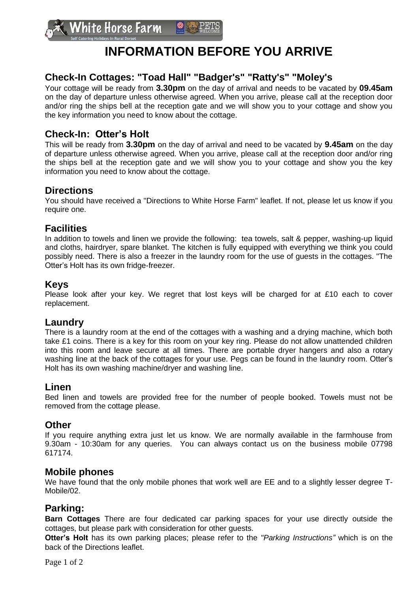# **INFORMATION BEFORE YOU ARRIVE**

## **Check-In Cottages: "Toad Hall" "Badger's" "Ratty's" "Moley's**

Your cottage will be ready from **3.30pm** on the day of arrival and needs to be vacated by **09.45am** on the day of departure unless otherwise agreed. When you arrive, please call at the reception door and/or ring the ships bell at the reception gate and we will show you to your cottage and show you the key information you need to know about the cottage.

## **Check-In: Otter's Holt**

This will be ready from **3.30pm** on the day of arrival and need to be vacated by **9.45am** on the day of departure unless otherwise agreed. When you arrive, please call at the reception door and/or ring the ships bell at the reception gate and we will show you to your cottage and show you the key information you need to know about the cottage.

## **Directions**

You should have received a "Directions to White Horse Farm" leaflet. If not, please let us know if you require one.

## **Facilities**

In addition to towels and linen we provide the following: tea towels, salt & pepper, washing-up liquid and cloths, hairdryer, spare blanket. The kitchen is fully equipped with everything we think you could possibly need. There is also a freezer in the laundry room for the use of guests in the cottages. "The Otter's Holt has its own fridge-freezer.

### **Keys**

Please look after your key. We regret that lost keys will be charged for at £10 each to cover replacement.

## **Laundry**

There is a laundry room at the end of the cottages with a washing and a drying machine, which both take £1 coins. There is a key for this room on your key ring. Please do not allow unattended children into this room and leave secure at all times. There are portable dryer hangers and also a rotary washing line at the back of the cottages for your use. Pegs can be found in the laundry room. Otter's Holt has its own washing machine/dryer and washing line.

## **Linen**

Bed linen and towels are provided free for the number of people booked. Towels must not be removed from the cottage please.

## **Other**

If you require anything extra just let us know. We are normally available in the farmhouse from 9.30am - 10:30am for any queries. You can always contact us on the business mobile 07798 617174.

### **Mobile phones**

We have found that the only mobile phones that work well are EE and to a slightly lesser degree T-Mobile/02.

## **Parking:**

**Barn Cottages** There are four dedicated car parking spaces for your use directly outside the cottages, but please park with consideration for other guests.

**Otter's Holt** has its own parking places; please refer to the *"Parking Instructions"* which is on the back of the Directions leaflet.